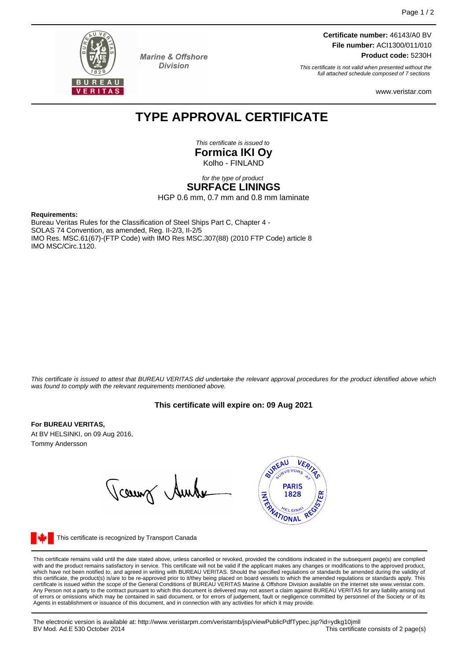

**Marine & Offshore Division** 

**Certificate number:** 46143/A0 BV **File number:** ACI1300/011/010 **Product code:** 5230H

This certificate is not valid when presented without the full attached schedule composed of 7 sections

www.veristar.com

# **TYPE APPROVAL CERTIFICATE**

This certificate is issued to **Formica IKI Oy** Kolho - FINLAND

### for the type of product **SURFACE LININGS**

HGP 0.6 mm, 0.7 mm and 0.8 mm laminate

#### **Requirements:**

Bureau Veritas Rules for the Classification of Steel Ships Part C, Chapter 4 - SOLAS 74 Convention, as amended, Reg. II-2/3, II-2/5 IMO Res. MSC.61(67)-(FTP Code) with IMO Res MSC.307(88) (2010 FTP Code) article 8 IMO MSC/Circ.1120.

This certificate is issued to attest that BUREAU VERITAS did undertake the relevant approval procedures for the product identified above which was found to comply with the relevant requirements mentioned above.

## **This certificate will expire on: 09 Aug 2021**

#### **For BUREAU VERITAS,**

At BV HELSINKI, on 09 Aug 2016, Tommy Andersson

Tcount Aunte



This certificate is recognized by Transport Canada

This certificate remains valid until the date stated above, unless cancelled or revoked, provided the conditions indicated in the subsequent page(s) are complied with and the product remains satisfactory in service. This certificate will not be valid if the applicant makes any changes or modifications to the approved product, which have not been notified to, and agreed in writing with BUREAU VERITAS. Should the specified regulations or standards be amended during the validity of<br>this certificate, the product(s) is/are to be re-approved prior to Any Person not a party to the contract pursuant to which this document is delivered may not assert a claim against BUREAU VERITAS for any liability arising out of errors or omissions which may be contained in said document, or for errors of judgement, fault or negligence committed by personnel of the Society or of its Agents in establishment or issuance of this document, and in connection with any activities for which it may provide.